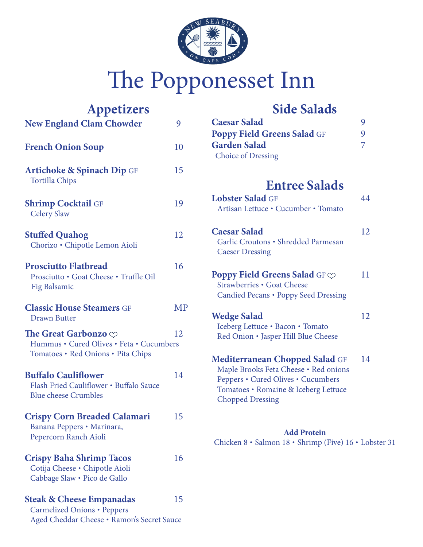

# The Popponesset Inn

| <b>Appetizers</b><br><b>New England Clam Chowder</b>                                                              | 9  |
|-------------------------------------------------------------------------------------------------------------------|----|
| <b>French Onion Soup</b>                                                                                          | 10 |
| <b>Artichoke &amp; Spinach Dip GF</b><br><b>Tortilla Chips</b>                                                    | 15 |
| <b>Shrimp Cocktail GF</b><br><b>Celery Slaw</b>                                                                   | 19 |
| <b>Stuffed Quahog</b><br>Chorizo · Chipotle Lemon Aioli                                                           | 12 |
| <b>Prosciutto Flatbread</b><br>Prosciutto · Goat Cheese · Truffle Oil<br>Fig Balsamic                             | 16 |
| <b>Classic House Steamers GF</b><br><b>Drawn Butter</b>                                                           | MP |
| The Great Garbonzo $\heartsuit$<br>Hummus · Cured Olives · Feta · Cucumbers<br>Tomatoes · Red Onions · Pita Chips | 12 |
| <b>Buffalo Cauliflower</b><br>Flash Fried Cauliflower . Buffalo Sauce<br><b>Blue cheese Crumbles</b>              | 14 |
| <b>Crispy Corn Breaded Calamari</b><br>Banana Peppers · Marinara,<br>Pepercorn Ranch Aioli                        | 15 |
| <b>Crispy Baha Shrimp Tacos</b><br>Cotija Cheese · Chipotle Aioli<br>Cabbage Slaw · Pico de Gallo                 | 16 |
| <b>Steak &amp; Cheese Empanadas</b><br><b>Carmelized Onions · Peppers</b>                                         | 15 |

Aged Cheddar Cheese • Ramon's Secret Sauce

## **Side Salads**

| <b>Caesar Salad</b>                |   |
|------------------------------------|---|
| <b>Poppy Field Greens Salad GF</b> | g |
| <b>Garden Salad</b>                |   |
| <b>Choice of Dressing</b>          |   |

## **Entree Salads**

| <b>Lobster Salad GF</b><br>Artisan Lettuce • Cucumber • Tomato                                                                                                                   | 44 |
|----------------------------------------------------------------------------------------------------------------------------------------------------------------------------------|----|
| <b>Caesar Salad</b><br>Garlic Croutons • Shredded Parmesan<br><b>Caeser Dressing</b>                                                                                             | 12 |
| <b>Poppy Field Greens Salad</b> GF $\heartsuit$<br>Strawberries • Goat Cheese<br>Candied Pecans • Poppy Seed Dressing                                                            | 11 |
| <b>Wedge Salad</b><br>Iceberg Lettuce · Bacon · Tomato<br>Red Onion • Jasper Hill Blue Cheese                                                                                    | 12 |
| Mediterranean Chopped Salad GF<br>Maple Brooks Feta Cheese · Red onions<br>Peppers • Cured Olives • Cucumbers<br>Tomatoes • Romaine & Iceberg Lettuce<br><b>Chopped Dressing</b> | 14 |

#### **Add Protein** Chicken 8 • Salmon 18 • Shrimp (Five) 16 • Lobster 31